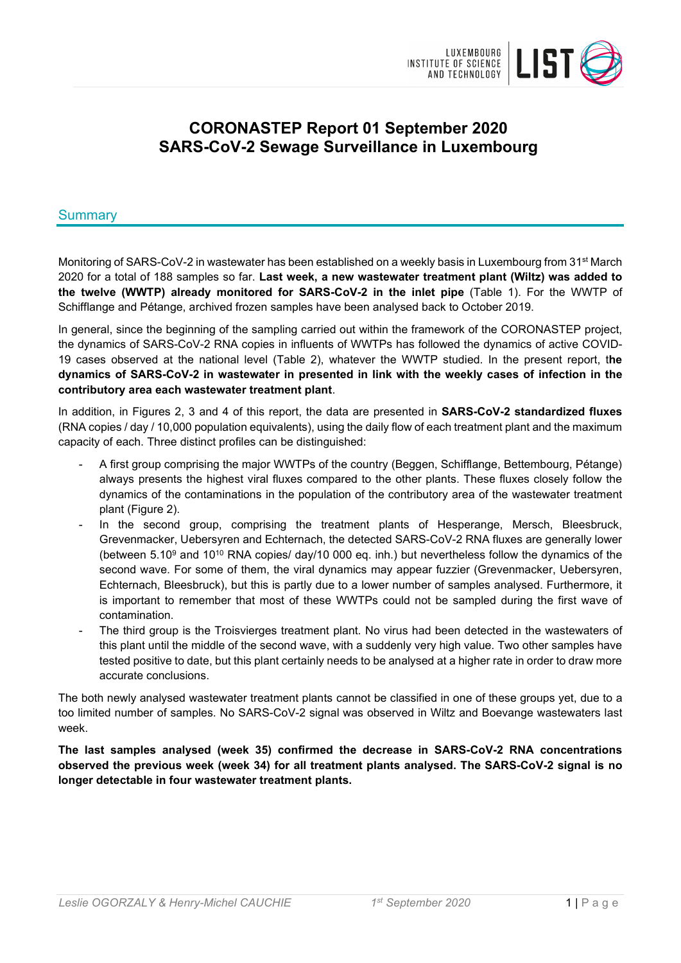

# **CORONASTEP Report 01 September 2020 SARS-CoV-2 Sewage Surveillance in Luxembourg**

### Summary

Monitoring of SARS-CoV-2 in wastewater has been established on a weekly basis in Luxembourg from 31<sup>st</sup> March 2020 for a total of 188 samples so far. **Last week, a new wastewater treatment plant (Wiltz) was added to the twelve (WWTP) already monitored for SARS-CoV-2 in the inlet pipe** (Table 1). For the WWTP of Schifflange and Pétange, archived frozen samples have been analysed back to October 2019.

In general, since the beginning of the sampling carried out within the framework of the CORONASTEP project, the dynamics of SARS-CoV-2 RNA copies in influents of WWTPs has followed the dynamics of active COVID-19 cases observed at the national level (Table 2), whatever the WWTP studied. In the present report, t**he dynamics of SARS-CoV-2 in wastewater in presented in link with the weekly cases of infection in the contributory area each wastewater treatment plant**.

In addition, in Figures 2, 3 and 4 of this report, the data are presented in **SARS-CoV-2 standardized fluxes** (RNA copies / day / 10,000 population equivalents), using the daily flow of each treatment plant and the maximum capacity of each. Three distinct profiles can be distinguished:

- A first group comprising the major WWTPs of the country (Beggen, Schifflange, Bettembourg, Pétange) always presents the highest viral fluxes compared to the other plants. These fluxes closely follow the dynamics of the contaminations in the population of the contributory area of the wastewater treatment plant (Figure 2).
- In the second group, comprising the treatment plants of Hesperange, Mersch, Bleesbruck, Grevenmacker, Uebersyren and Echternach, the detected SARS-CoV-2 RNA fluxes are generally lower (between  $5.10^9$  and  $10^{10}$  RNA copies/ day/10 000 eq. inh.) but nevertheless follow the dynamics of the second wave. For some of them, the viral dynamics may appear fuzzier (Grevenmacker, Uebersyren, Echternach, Bleesbruck), but this is partly due to a lower number of samples analysed. Furthermore, it is important to remember that most of these WWTPs could not be sampled during the first wave of contamination.
- The third group is the Troisvierges treatment plant. No virus had been detected in the wastewaters of this plant until the middle of the second wave, with a suddenly very high value. Two other samples have tested positive to date, but this plant certainly needs to be analysed at a higher rate in order to draw more accurate conclusions.

The both newly analysed wastewater treatment plants cannot be classified in one of these groups yet, due to a too limited number of samples. No SARS-CoV-2 signal was observed in Wiltz and Boevange wastewaters last week.

**The last samples analysed (week 35) confirmed the decrease in SARS-CoV-2 RNA concentrations observed the previous week (week 34) for all treatment plants analysed. The SARS-CoV-2 signal is no longer detectable in four wastewater treatment plants.**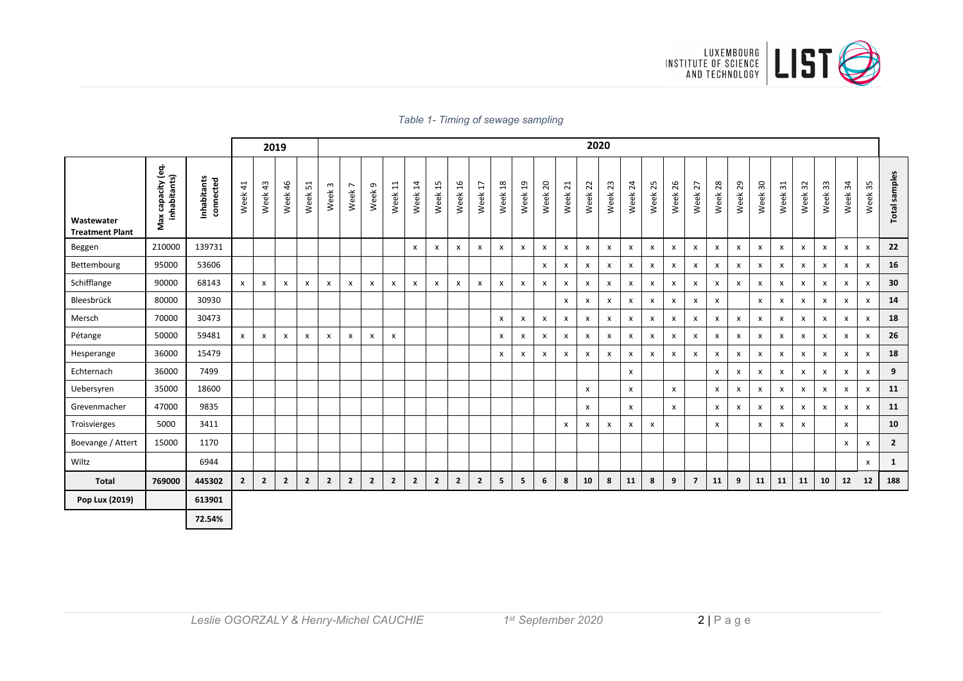

|  |  |  |  |  | Table 1- Timing of sewage sampling |
|--|--|--|--|--|------------------------------------|
|--|--|--|--|--|------------------------------------|

|                                      |                                   |                          |                        |                | 2019           |                    |                   | 2020                                |                           |                |                |                |                           |                           |                 |                           |                           |                         |                           |                           |              |              |                    |                         |            |                           |                    |                           |                    |                           |              |                           |                |
|--------------------------------------|-----------------------------------|--------------------------|------------------------|----------------|----------------|--------------------|-------------------|-------------------------------------|---------------------------|----------------|----------------|----------------|---------------------------|---------------------------|-----------------|---------------------------|---------------------------|-------------------------|---------------------------|---------------------------|--------------|--------------|--------------------|-------------------------|------------|---------------------------|--------------------|---------------------------|--------------------|---------------------------|--------------|---------------------------|----------------|
| Wastewater<br><b>Treatment Plant</b> | Max capacity (eq.<br>inhabitants) | Inhabitants<br>connected | $\frac{4}{1}$<br>Week. | 43<br>Week     | 46<br>Week     | 51<br>Week         | $\omega$<br>Week. | $\overline{ }$<br>Week <sup>-</sup> | Week 9                    | Week 11        | Week 14        | Week 15        | Week 16                   | H<br>Week                 | $^{28}$<br>Week | Week 19                   | Week 20                   | $\overline{21}$<br>Week | Week 22                   | Week 23                   | Week 24      | 25<br>Week   | Week <sub>26</sub> | 27<br>Week              | 28<br>Week | 29<br>Week                | $\rm ^{5}$<br>Week | $\frac{1}{2}$<br>Week     | Week 32            | Week <sub>33</sub>        | Week 34      | Week <sub>35</sub>        | Total samples  |
| Beggen                               | 210000                            | 139731                   |                        |                |                |                    |                   |                                     |                           |                | x              | $\pmb{\times}$ | X                         | $\boldsymbol{\mathsf{x}}$ | $\pmb{\chi}$    | $\boldsymbol{\mathsf{x}}$ | $\pmb{\chi}$              | $\pmb{\mathsf{x}}$      | $\boldsymbol{\mathsf{x}}$ | $\mathsf{x}$              | X            | X            | $\pmb{\mathsf{X}}$ | X                       | X          | $\pmb{\chi}$              | X                  | $\boldsymbol{\mathsf{x}}$ | $\pmb{\mathsf{X}}$ | $\boldsymbol{\mathsf{x}}$ | $\mathsf{x}$ | $\boldsymbol{\mathsf{x}}$ | 22             |
| Bettembourg                          | 95000                             | 53606                    |                        |                |                |                    |                   |                                     |                           |                |                |                |                           |                           |                 |                           | $\boldsymbol{\mathsf{x}}$ | X                       | $\boldsymbol{\mathsf{x}}$ | $\pmb{\chi}$              | x            | x            | $\pmb{\mathsf{x}}$ | x                       | x          | $\boldsymbol{\mathsf{x}}$ | x                  | X                         | $\pmb{\times}$     | $\boldsymbol{\mathsf{x}}$ | $\mathsf{x}$ | x                         | 16             |
| Schifflange                          | 90000                             | 68143                    | $\mathsf{x}$           | x              | x              | $\pmb{\mathsf{x}}$ | X                 | x                                   | X                         | x              | X              | X              | $\boldsymbol{\mathsf{x}}$ | $\boldsymbol{\mathsf{x}}$ | $\pmb{\times}$  | X                         | $\boldsymbol{\mathsf{x}}$ | x                       | $\boldsymbol{\mathsf{x}}$ | X                         | X            | X            | X                  | X                       | X          | $\pmb{\times}$            | X                  | $\boldsymbol{\mathsf{x}}$ | X                  | $\boldsymbol{\mathsf{x}}$ | $\mathsf{x}$ | X                         | 30             |
| Bleesbrück                           | 80000                             | 30930                    |                        |                |                |                    |                   |                                     |                           |                |                |                |                           |                           |                 |                           |                           | x                       | $\boldsymbol{\mathsf{x}}$ | $\mathsf{x}$              | x            | $\mathsf{x}$ | $\mathsf{x}$       | X                       | x          |                           | X                  | $\boldsymbol{\mathsf{x}}$ | X                  | $\boldsymbol{\mathsf{x}}$ | X            | X                         | 14             |
| Mersch                               | 70000                             | 30473                    |                        |                |                |                    |                   |                                     |                           |                |                |                |                           |                           | X               | x                         | $\boldsymbol{\mathsf{x}}$ | X                       | $\boldsymbol{\mathsf{x}}$ | $\pmb{\mathsf{X}}$        | x            | x            | x                  | x                       | x          | x                         | X                  | X                         | X                  | $\mathsf{x}$              | $\mathsf{x}$ | X                         | 18             |
| Pétange                              | 50000                             | 59481                    | $\mathsf{x}$           | x              | x              | X                  | x                 | X                                   | $\boldsymbol{\mathsf{x}}$ | x              |                |                |                           |                           | X               | x                         | X                         | X                       | X                         | $\boldsymbol{\mathsf{x}}$ | X            | X            | x                  | x                       | X          | x                         | x                  | X                         | X                  | X                         | X            | $\boldsymbol{\mathsf{x}}$ | 26             |
| Hesperange                           | 36000                             | 15479                    |                        |                |                |                    |                   |                                     |                           |                |                |                |                           |                           | $\pmb{\times}$  | x                         | $\boldsymbol{\mathsf{x}}$ | X                       | $\pmb{\chi}$              | $\pmb{\mathsf{X}}$        | x            | x            | X                  | X                       | X          | X                         | X                  | $\boldsymbol{\mathsf{x}}$ | X                  | $\boldsymbol{\mathsf{x}}$ | $\mathsf{x}$ | $\pmb{\chi}$              | 18             |
| Echternach                           | 36000                             | 7499                     |                        |                |                |                    |                   |                                     |                           |                |                |                |                           |                           |                 |                           |                           |                         |                           |                           | x            |              |                    |                         | X          | $\boldsymbol{\mathsf{x}}$ | X                  | $\boldsymbol{\mathsf{x}}$ | $\pmb{\chi}$       | $\boldsymbol{\mathsf{x}}$ | $\mathsf{x}$ | x                         | 9              |
| Uebersyren                           | 35000                             | 18600                    |                        |                |                |                    |                   |                                     |                           |                |                |                |                           |                           |                 |                           |                           |                         | $\pmb{\mathsf{X}}$        |                           | x            |              | X                  |                         | X          | X                         | X                  | $\boldsymbol{\mathsf{x}}$ | X                  | $\boldsymbol{\mathsf{x}}$ | $\mathsf{x}$ | x                         | 11             |
| Grevenmacher                         | 47000                             | 9835                     |                        |                |                |                    |                   |                                     |                           |                |                |                |                           |                           |                 |                           |                           |                         | $\mathsf{x}$              |                           | $\mathsf{x}$ |              | $\mathsf{x}$       |                         | X          | X                         | X                  | $\boldsymbol{\mathsf{x}}$ | X                  | $\mathsf{x}$              | $\mathsf{x}$ | X                         | 11             |
| Troisvierges                         | 5000                              | 3411                     |                        |                |                |                    |                   |                                     |                           |                |                |                |                           |                           |                 |                           |                           | X                       | $\boldsymbol{\mathsf{x}}$ | $\boldsymbol{\mathsf{x}}$ | x            | x            |                    |                         | X          |                           | x                  | x                         | X                  |                           | $\mathsf{x}$ |                           | 10             |
| Boevange / Attert                    | 15000                             | 1170                     |                        |                |                |                    |                   |                                     |                           |                |                |                |                           |                           |                 |                           |                           |                         |                           |                           |              |              |                    |                         |            |                           |                    |                           |                    |                           | X            | x                         | $\overline{2}$ |
| Wiltz                                |                                   | 6944                     |                        |                |                |                    |                   |                                     |                           |                |                |                |                           |                           |                 |                           |                           |                         |                           |                           |              |              |                    |                         |            |                           |                    |                           |                    |                           |              | x                         | $\mathbf{1}$   |
| <b>Total</b>                         | 769000                            | 445302                   | $\overline{2}$         | $\overline{2}$ | $\overline{2}$ | $\overline{2}$     | $\overline{2}$    | $\mathbf{2}$                        | $\overline{2}$            | $\overline{2}$ | $\overline{2}$ | $\overline{2}$ | $\overline{2}$            | $\mathbf{2}$              | 5               | 5                         | 6                         | 8                       | 10                        | 8                         | 11           | 8            | 9                  | $\overline{\mathbf{z}}$ | 11         | 9                         | 11                 | 11                        | 11                 | 10                        | $12$         | 12                        | 188            |
| Pop Lux (2019)                       |                                   | 613901                   |                        |                |                |                    |                   |                                     |                           |                |                |                |                           |                           |                 |                           |                           |                         |                           |                           |              |              |                    |                         |            |                           |                    |                           |                    |                           |              |                           |                |
|                                      |                                   | 72.54%                   |                        |                |                |                    |                   |                                     |                           |                |                |                |                           |                           |                 |                           |                           |                         |                           |                           |              |              |                    |                         |            |                           |                    |                           |                    |                           |              |                           |                |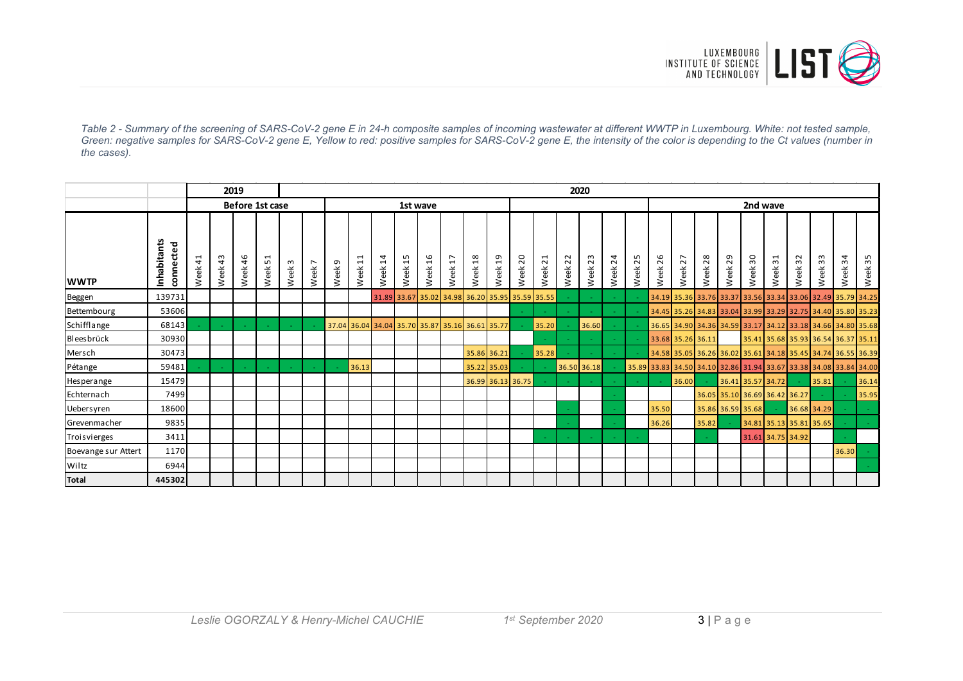

*Table 2 - Summary of the screening of SARS-CoV-2 gene E in 24-h composite samples of incoming wastewater at different WWTP in Luxembourg. White: not tested sample, Green: negative samples for SARS-CoV-2 gene E, Yellow to red: positive samples for SARS-CoV-2 gene E, the intensity of the color is depending to the Ct values (number in the cases).*

|                     |                         |         | 2019<br>2020 |                 |                |                      |                        |                  |           |                        |                                                 |                       |                         |                        |                        |                        |                         |         |             |            |            |                                                                   |                                                             |            |                               |                   |         |                         |                |                                     |            |
|---------------------|-------------------------|---------|--------------|-----------------|----------------|----------------------|------------------------|------------------|-----------|------------------------|-------------------------------------------------|-----------------------|-------------------------|------------------------|------------------------|------------------------|-------------------------|---------|-------------|------------|------------|-------------------------------------------------------------------|-------------------------------------------------------------|------------|-------------------------------|-------------------|---------|-------------------------|----------------|-------------------------------------|------------|
|                     |                         |         |              | Before 1st case |                | 1st wave             |                        |                  |           |                        |                                                 |                       |                         |                        |                        |                        | 2nd wave                |         |             |            |            |                                                                   |                                                             |            |                               |                   |         |                         |                |                                     |            |
| <b>WWTP</b>         | nhabitants<br>connected | Week 41 | Week 43      | 46<br>Week      | ⊣<br>S<br>Week | $\mathsf{m}$<br>Week | $\overline{ }$<br>Week | $\sigma$<br>Week | 吕<br>Week | $\overline{1}$<br>Week | 15<br>Week                                      | $\frac{6}{2}$<br>Week | $\overline{17}$<br>Week | $\frac{8}{18}$<br>Week | $\overline{1}$<br>Week | $\overline{c}$<br>Week | $\overline{21}$<br>Week | Week 22 | 23<br>Week  | 24<br>Week | 25<br>Week | 26<br>Week                                                        | 27<br>Week                                                  | 28<br>Week | 29<br>Week                    | Week 30           | Week 31 | Week 32                 | $33\,$<br>Week | $\overline{3}$<br>Week              | 35<br>Week |
| Beggen              | 139731                  |         |              |                 |                |                      |                        |                  |           |                        | 31.89 33.67 35.02 34.98 36.20 35.95 35.59 35.55 |                       |                         |                        |                        |                        |                         |         |             |            |            |                                                                   | 34.19 35.36 33.76 33.37 33.56 33.34 33.06 32.49 35.79 34.25 |            |                               |                   |         |                         |                |                                     |            |
| Bettembourg         | 53606                   |         |              |                 |                |                      |                        |                  |           |                        |                                                 |                       |                         |                        |                        |                        |                         |         |             |            |            |                                                                   | 34.45 35.26 34.83 33.04 33.99 33.29 32.75 34.40 35.80 35.23 |            |                               |                   |         |                         |                |                                     |            |
| Schifflange         | 68143                   |         |              |                 |                |                      |                        |                  |           |                        | 37.04 36.04 34.04 35.70 35.87 35.16 36.61 35.77 |                       |                         |                        |                        |                        | 35.20                   |         | 36.60       |            |            |                                                                   | 36.65 34.90 34.36 34.59 33.17 34.12 33.18 34.66 34.80 35.68 |            |                               |                   |         |                         |                |                                     |            |
| Bleesbrück          | 30930                   |         |              |                 |                |                      |                        |                  |           |                        |                                                 |                       |                         |                        |                        |                        |                         |         |             |            |            | 33.68 35.26 36.11                                                 |                                                             |            |                               |                   |         |                         |                | 35.41 35.68 35.93 36.54 36.37 35.11 |            |
| Mersch              | 30473                   |         |              |                 |                |                      |                        |                  |           |                        |                                                 |                       |                         |                        | 35.86 36.21            |                        | 35.28                   |         |             |            |            | 34.58 35.05 36.26 36.02 35.61 34.18 35.45 34.74 36.55 36.39       |                                                             |            |                               |                   |         |                         |                |                                     |            |
| Pétange             | 59481                   |         |              |                 |                |                      |                        |                  | 36.13     |                        |                                                 |                       |                         |                        | 35.22 35.03            |                        |                         |         | 36.50 36.18 |            |            | 35.89 33.83 34.50 34.10 32.86 31.94 33.67 33.38 34.08 33.84 34.00 |                                                             |            |                               |                   |         |                         |                |                                     |            |
| Hesperange          | 15479                   |         |              |                 |                |                      |                        |                  |           |                        |                                                 |                       |                         |                        | 36.99 36.13 36.75      |                        |                         |         |             |            |            |                                                                   | 36.00                                                       |            | 36.41 35.57 34.72             |                   |         |                         | 35.81          |                                     | 36.14      |
| Echternach          | 7499                    |         |              |                 |                |                      |                        |                  |           |                        |                                                 |                       |                         |                        |                        |                        |                         |         |             |            |            |                                                                   |                                                             |            | 36.05 35.10 36.69 36.42 36.27 |                   |         |                         |                |                                     | 35.95      |
| Uebersyren          | 18600                   |         |              |                 |                |                      |                        |                  |           |                        |                                                 |                       |                         |                        |                        |                        |                         |         |             |            |            | 35.50                                                             |                                                             |            | 35.86 36.59 35.68             |                   |         | 36.68 34.29             |                |                                     |            |
| Grevenmacher        | 9835                    |         |              |                 |                |                      |                        |                  |           |                        |                                                 |                       |                         |                        |                        |                        |                         |         |             |            |            | 36.26                                                             |                                                             | 35.82      |                               |                   |         | 34.81 35.13 35.81 35.65 |                |                                     |            |
| Troisvierges        | 3411                    |         |              |                 |                |                      |                        |                  |           |                        |                                                 |                       |                         |                        |                        |                        |                         |         |             |            |            |                                                                   |                                                             |            |                               | 31.61 34.75 34.92 |         |                         |                |                                     |            |
| Boevange sur Attert | 1170                    |         |              |                 |                |                      |                        |                  |           |                        |                                                 |                       |                         |                        |                        |                        |                         |         |             |            |            |                                                                   |                                                             |            |                               |                   |         |                         |                | 36.30                               |            |
| Wiltz               | 6944                    |         |              |                 |                |                      |                        |                  |           |                        |                                                 |                       |                         |                        |                        |                        |                         |         |             |            |            |                                                                   |                                                             |            |                               |                   |         |                         |                |                                     |            |
| <b>Total</b>        | 445302                  |         |              |                 |                |                      |                        |                  |           |                        |                                                 |                       |                         |                        |                        |                        |                         |         |             |            |            |                                                                   |                                                             |            |                               |                   |         |                         |                |                                     |            |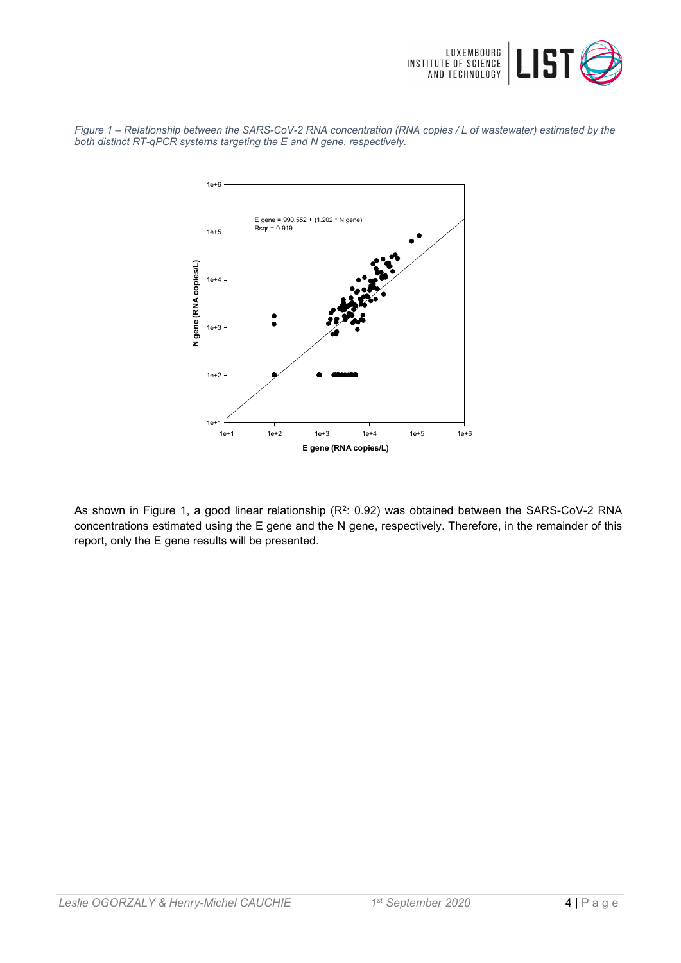

*Figure 1 – Relationship between the SARS-CoV-2 RNA concentration (RNA copies / L of wastewater) estimated by the both distinct RT-qPCR systems targeting the E and N gene, respectively.*



As shown in Figure 1, a good linear relationship (R<sup>2</sup>: 0.92) was obtained between the SARS-CoV-2 RNA concentrations estimated using the E gene and the N gene, respectively. Therefore, in the remainder of this report, only the E gene results will be presented.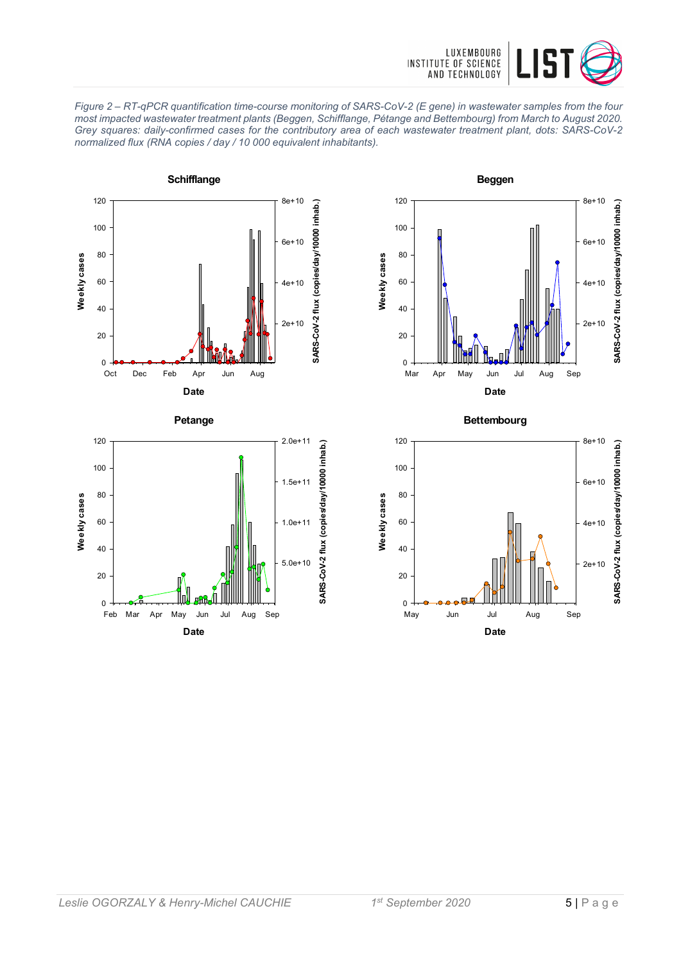









**Bettembourg**

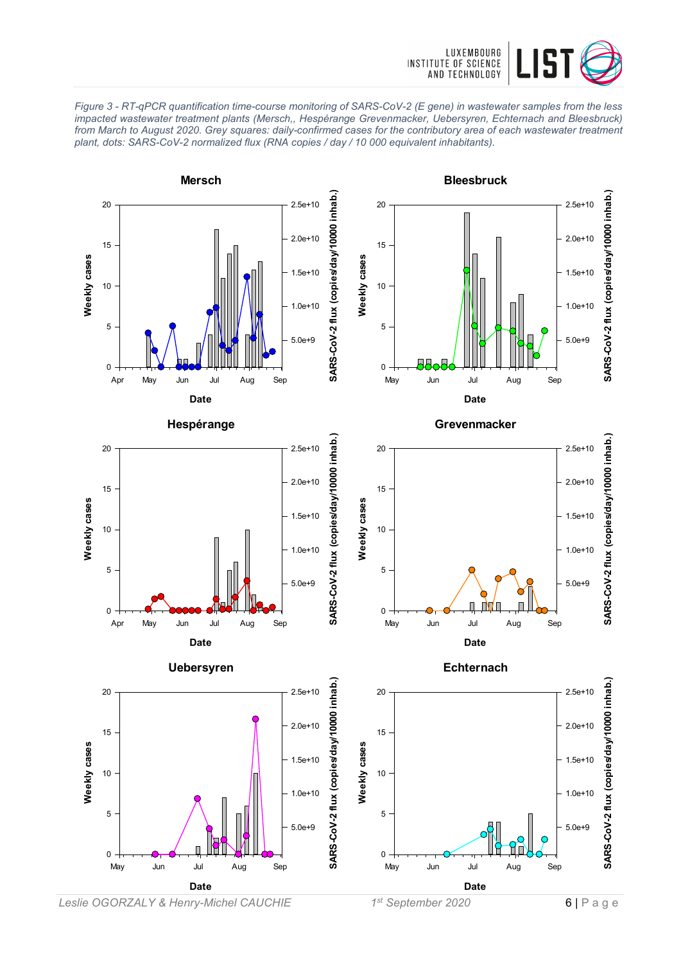

*Figure 3 - RT-qPCR quantification time-course monitoring of SARS-CoV-2 (E gene) in wastewater samples from the less impacted wastewater treatment plants (Mersch,, Hespérange Grevenmacker, Uebersyren, Echternach and Bleesbruck) from March to August 2020. Grey squares: daily-confirmed cases for the contributory area of each wastewater treatment plant, dots: SARS-CoV-2 normalized flux (RNA copies / day / 10 000 equivalent inhabitants).*



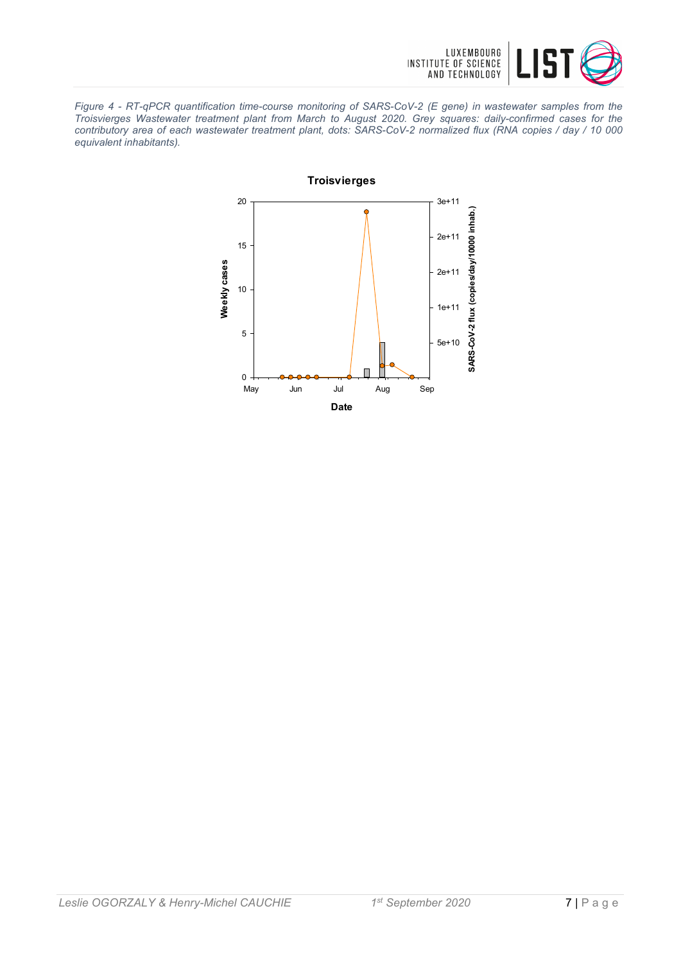

*Figure 4 - RT-qPCR quantification time-course monitoring of SARS-CoV-2 (E gene) in wastewater samples from the Troisvierges Wastewater treatment plant from March to August 2020. Grey squares: daily-confirmed cases for the contributory area of each wastewater treatment plant, dots: SARS-CoV-2 normalized flux (RNA copies / day / 10 000 equivalent inhabitants).*

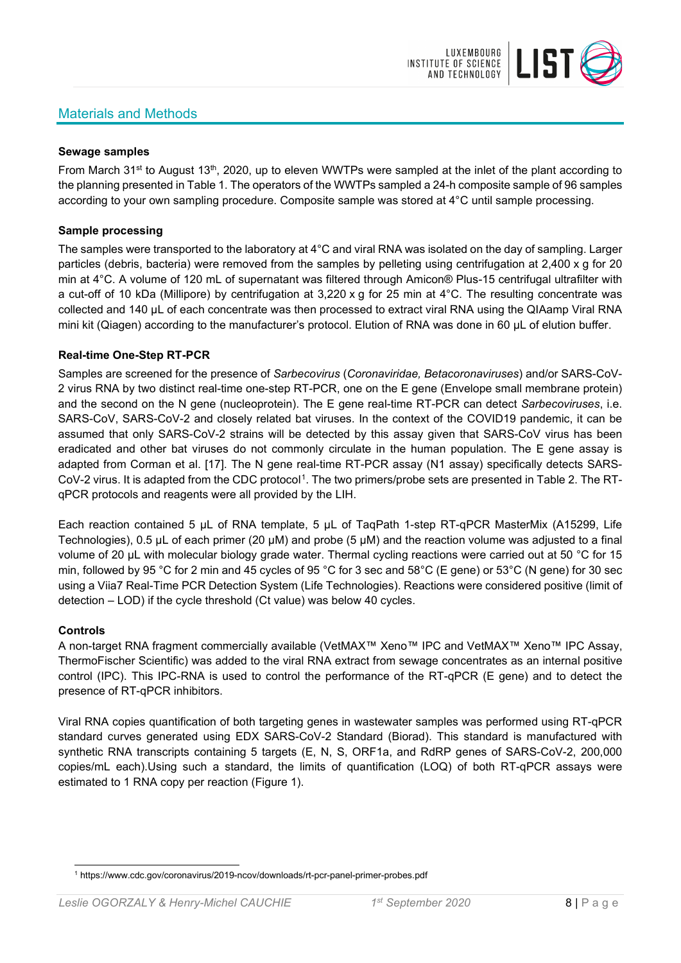## Materials and Methods



#### **Sewage samples**

From March 31<sup>st</sup> to August 13<sup>th</sup>, 2020, up to eleven WWTPs were sampled at the inlet of the plant according to the planning presented in Table 1. The operators of the WWTPs sampled a 24-h composite sample of 96 samples according to your own sampling procedure. Composite sample was stored at 4°C until sample processing.

#### **Sample processing**

The samples were transported to the laboratory at 4°C and viral RNA was isolated on the day of sampling. Larger particles (debris, bacteria) were removed from the samples by pelleting using centrifugation at 2,400 x g for 20 min at 4°C. A volume of 120 mL of supernatant was filtered through Amicon® Plus-15 centrifugal ultrafilter with a cut-off of 10 kDa (Millipore) by centrifugation at 3,220 x g for 25 min at 4°C. The resulting concentrate was collected and 140 µL of each concentrate was then processed to extract viral RNA using the QIAamp Viral RNA mini kit (Qiagen) according to the manufacturer's protocol. Elution of RNA was done in 60 μL of elution buffer.

#### **Real-time One-Step RT-PCR**

Samples are screened for the presence of *Sarbecovirus* (*Coronaviridae, Betacoronaviruses*) and/or SARS-CoV-2 virus RNA by two distinct real-time one-step RT-PCR, one on the E gene (Envelope small membrane protein) and the second on the N gene (nucleoprotein). The E gene real-time RT-PCR can detect *Sarbecoviruses*, i.e. SARS-CoV, SARS-CoV-2 and closely related bat viruses. In the context of the COVID19 pandemic, it can be assumed that only SARS-CoV-2 strains will be detected by this assay given that SARS-CoV virus has been eradicated and other bat viruses do not commonly circulate in the human population. The E gene assay is adapted from Corman et al. [17]. The N gene real-time RT-PCR assay (N1 assay) specifically detects SARS-CoV-2 virus. It is adapted from the CDC protocol[1](#page-7-0). The two primers/probe sets are presented in Table 2. The RTqPCR protocols and reagents were all provided by the LIH.

Each reaction contained 5 μL of RNA template, 5 μL of TaqPath 1-step RT-qPCR MasterMix (A15299, Life Technologies), 0.5 µL of each primer (20 µM) and probe (5 µM) and the reaction volume was adjusted to a final volume of 20 μL with molecular biology grade water. Thermal cycling reactions were carried out at 50 °C for 15 min, followed by 95 °C for 2 min and 45 cycles of 95 °C for 3 sec and 58°C (E gene) or 53°C (N gene) for 30 sec using a Viia7 Real-Time PCR Detection System (Life Technologies). Reactions were considered positive (limit of detection – LOD) if the cycle threshold (Ct value) was below 40 cycles.

#### **Controls**

A non-target RNA fragment commercially available (VetMAX™ Xeno™ IPC and VetMAX™ Xeno™ IPC Assay, ThermoFischer Scientific) was added to the viral RNA extract from sewage concentrates as an internal positive control (IPC). This IPC-RNA is used to control the performance of the RT-qPCR (E gene) and to detect the presence of RT-qPCR inhibitors.

Viral RNA copies quantification of both targeting genes in wastewater samples was performed using RT-qPCR standard curves generated using EDX SARS-CoV-2 Standard (Biorad). This standard is manufactured with synthetic RNA transcripts containing 5 targets (E, N, S, ORF1a, and RdRP genes of SARS-CoV-2, 200,000 copies/mL each).Using such a standard, the limits of quantification (LOQ) of both RT-qPCR assays were estimated to 1 RNA copy per reaction (Figure 1).

<span id="page-7-0"></span><sup>1</sup> https://www.cdc.gov/coronavirus/2019-ncov/downloads/rt-pcr-panel-primer-probes.pdf